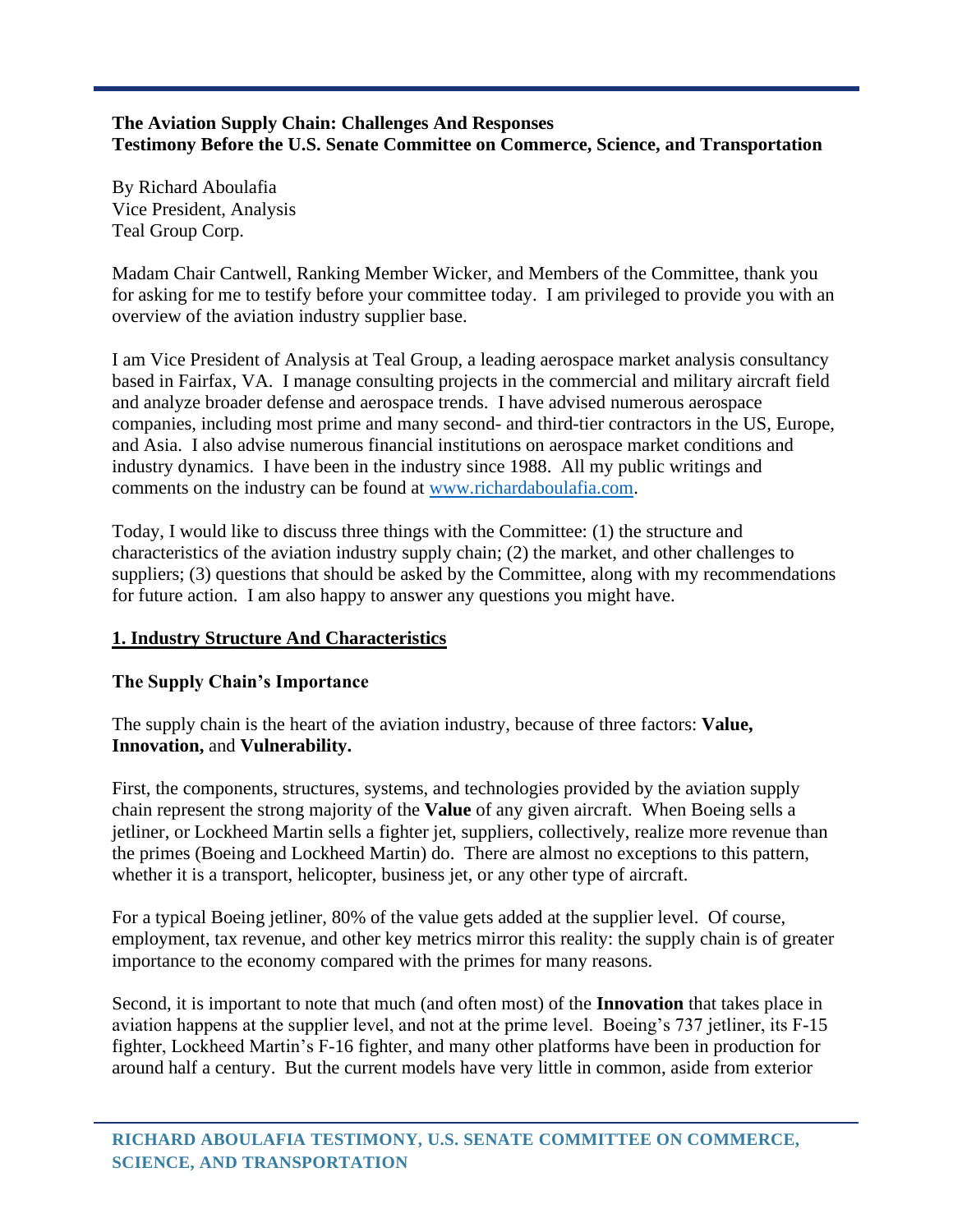#### **The Aviation Supply Chain: Challenges And Responses Testimony Before the U.S. Senate Committee on Commerce, Science, and Transportation**

By Richard Aboulafia Vice President, Analysis Teal Group Corp.

Madam Chair Cantwell, Ranking Member Wicker, and Members of the Committee, thank you for asking for me to testify before your committee today. I am privileged to provide you with an overview of the aviation industry supplier base.

I am Vice President of Analysis at Teal Group, a leading aerospace market analysis consultancy based in Fairfax, VA. I manage consulting projects in the commercial and military aircraft field and analyze broader defense and aerospace trends. I have advised numerous aerospace companies, including most prime and many second- and third-tier contractors in the US, Europe, and Asia. I also advise numerous financial institutions on aerospace market conditions and industry dynamics. I have been in the industry since 1988. All my public writings and comments on the industry can be found at [www.richardaboulafia.com.](http://www.richardaboulafia.com/)

Today, I would like to discuss three things with the Committee: (1) the structure and characteristics of the aviation industry supply chain; (2) the market, and other challenges to suppliers; (3) questions that should be asked by the Committee, along with my recommendations for future action. I am also happy to answer any questions you might have.

### **1. Industry Structure And Characteristics**

### **The Supply Chain's Importance**

The supply chain is the heart of the aviation industry, because of three factors: **Value, Innovation,** and **Vulnerability.**

First, the components, structures, systems, and technologies provided by the aviation supply chain represent the strong majority of the **Value** of any given aircraft. When Boeing sells a jetliner, or Lockheed Martin sells a fighter jet, suppliers, collectively, realize more revenue than the primes (Boeing and Lockheed Martin) do. There are almost no exceptions to this pattern, whether it is a transport, helicopter, business jet, or any other type of aircraft.

For a typical Boeing jetliner, 80% of the value gets added at the supplier level. Of course, employment, tax revenue, and other key metrics mirror this reality: the supply chain is of greater importance to the economy compared with the primes for many reasons.

Second, it is important to note that much (and often most) of the **Innovation** that takes place in aviation happens at the supplier level, and not at the prime level. Boeing's 737 jetliner, its F-15 fighter, Lockheed Martin's F-16 fighter, and many other platforms have been in production for around half a century. But the current models have very little in common, aside from exterior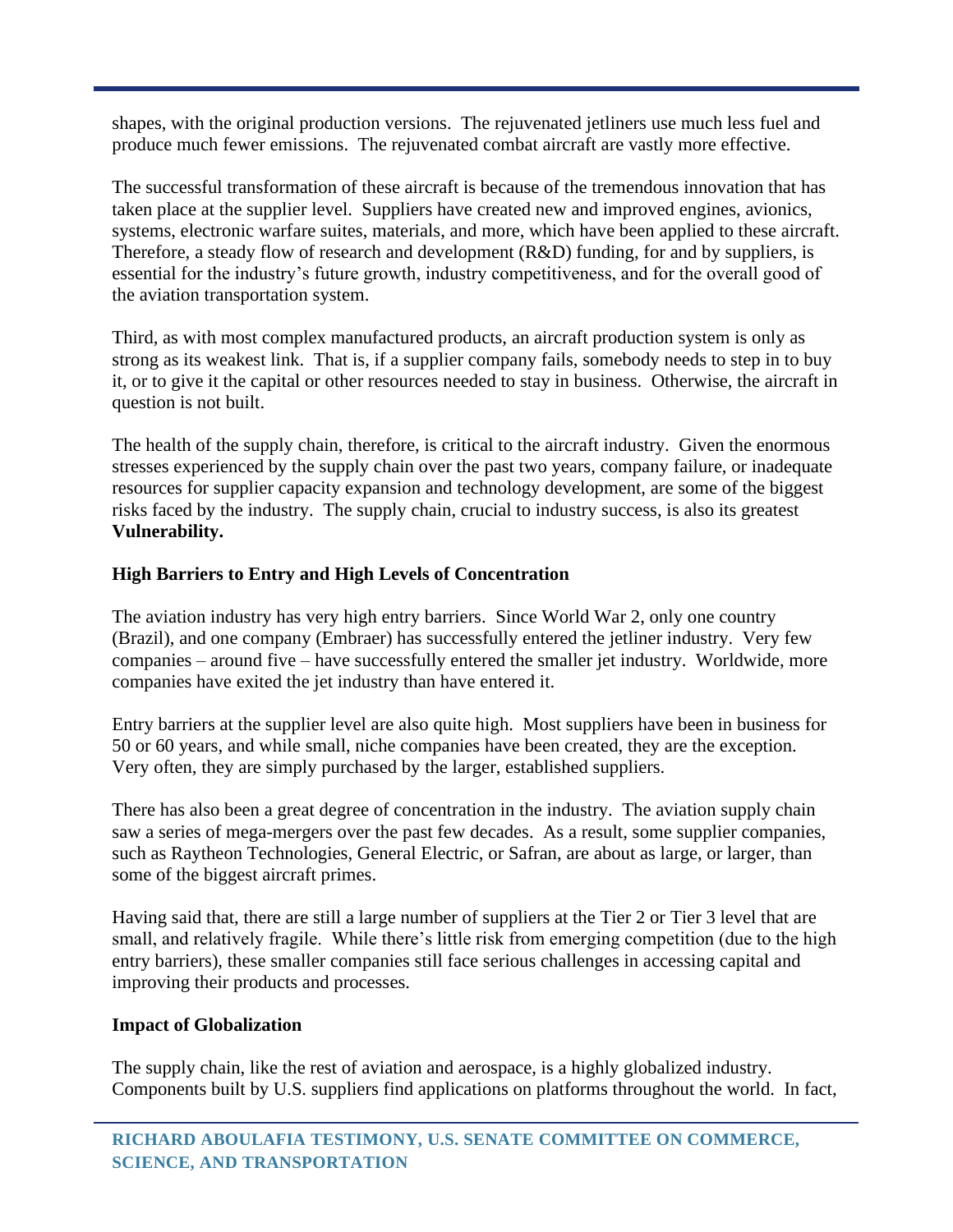shapes, with the original production versions. The rejuvenated jetliners use much less fuel and produce much fewer emissions. The rejuvenated combat aircraft are vastly more effective.

The successful transformation of these aircraft is because of the tremendous innovation that has taken place at the supplier level. Suppliers have created new and improved engines, avionics, systems, electronic warfare suites, materials, and more, which have been applied to these aircraft. Therefore, a steady flow of research and development (R&D) funding, for and by suppliers, is essential for the industry's future growth, industry competitiveness, and for the overall good of the aviation transportation system.

Third, as with most complex manufactured products, an aircraft production system is only as strong as its weakest link. That is, if a supplier company fails, somebody needs to step in to buy it, or to give it the capital or other resources needed to stay in business. Otherwise, the aircraft in question is not built.

The health of the supply chain, therefore, is critical to the aircraft industry. Given the enormous stresses experienced by the supply chain over the past two years, company failure, or inadequate resources for supplier capacity expansion and technology development, are some of the biggest risks faced by the industry. The supply chain, crucial to industry success, is also its greatest **Vulnerability.**

# **High Barriers to Entry and High Levels of Concentration**

The aviation industry has very high entry barriers. Since World War 2, only one country (Brazil), and one company (Embraer) has successfully entered the jetliner industry. Very few companies – around five – have successfully entered the smaller jet industry. Worldwide, more companies have exited the jet industry than have entered it.

Entry barriers at the supplier level are also quite high. Most suppliers have been in business for 50 or 60 years, and while small, niche companies have been created, they are the exception. Very often, they are simply purchased by the larger, established suppliers.

There has also been a great degree of concentration in the industry. The aviation supply chain saw a series of mega-mergers over the past few decades. As a result, some supplier companies, such as Raytheon Technologies, General Electric, or Safran, are about as large, or larger, than some of the biggest aircraft primes.

Having said that, there are still a large number of suppliers at the Tier 2 or Tier 3 level that are small, and relatively fragile. While there's little risk from emerging competition (due to the high entry barriers), these smaller companies still face serious challenges in accessing capital and improving their products and processes.

## **Impact of Globalization**

The supply chain, like the rest of aviation and aerospace, is a highly globalized industry. Components built by U.S. suppliers find applications on platforms throughout the world. In fact,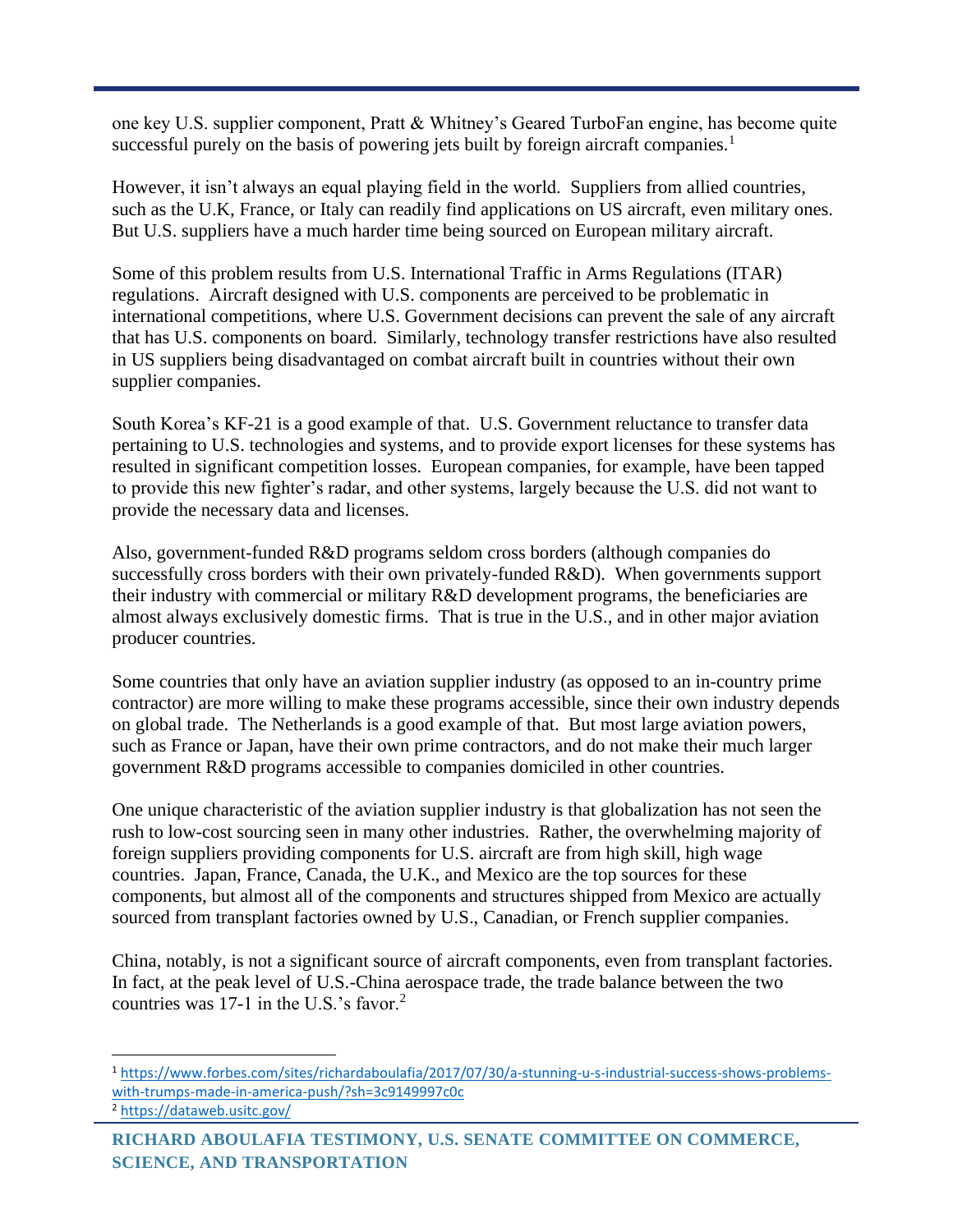one key U.S. supplier component, Pratt & Whitney's Geared TurboFan engine, has become quite successful purely on the basis of powering jets built by foreign aircraft companies.<sup>1</sup>

However, it isn't always an equal playing field in the world. Suppliers from allied countries, such as the U.K, France, or Italy can readily find applications on US aircraft, even military ones. But U.S. suppliers have a much harder time being sourced on European military aircraft.

Some of this problem results from U.S. International Traffic in Arms Regulations (ITAR) regulations. Aircraft designed with U.S. components are perceived to be problematic in international competitions, where U.S. Government decisions can prevent the sale of any aircraft that has U.S. components on board. Similarly, technology transfer restrictions have also resulted in US suppliers being disadvantaged on combat aircraft built in countries without their own supplier companies.

South Korea's KF-21 is a good example of that. U.S. Government reluctance to transfer data pertaining to U.S. technologies and systems, and to provide export licenses for these systems has resulted in significant competition losses. European companies, for example, have been tapped to provide this new fighter's radar, and other systems, largely because the U.S. did not want to provide the necessary data and licenses.

Also, government-funded R&D programs seldom cross borders (although companies do successfully cross borders with their own privately-funded R&D). When governments support their industry with commercial or military R&D development programs, the beneficiaries are almost always exclusively domestic firms. That is true in the U.S., and in other major aviation producer countries.

Some countries that only have an aviation supplier industry (as opposed to an in-country prime contractor) are more willing to make these programs accessible, since their own industry depends on global trade. The Netherlands is a good example of that. But most large aviation powers, such as France or Japan, have their own prime contractors, and do not make their much larger government R&D programs accessible to companies domiciled in other countries.

One unique characteristic of the aviation supplier industry is that globalization has not seen the rush to low-cost sourcing seen in many other industries. Rather, the overwhelming majority of foreign suppliers providing components for U.S. aircraft are from high skill, high wage countries. Japan, France, Canada, the U.K., and Mexico are the top sources for these components, but almost all of the components and structures shipped from Mexico are actually sourced from transplant factories owned by U.S., Canadian, or French supplier companies.

China, notably, is not a significant source of aircraft components, even from transplant factories. In fact, at the peak level of U.S.-China aerospace trade, the trade balance between the two countries was 17-1 in the U.S.'s favor.<sup>2</sup>

<sup>1</sup> [https://www.forbes.com/sites/richardaboulafia/2017/07/30/a-stunning-u-s-industrial-success-shows-problems](https://www.forbes.com/sites/richardaboulafia/2017/07/30/a-stunning-u-s-industrial-success-shows-problems-with-trumps-made-in-america-push/?sh=3c9149997c0c)[with-trumps-made-in-america-push/?sh=3c9149997c0c](https://www.forbes.com/sites/richardaboulafia/2017/07/30/a-stunning-u-s-industrial-success-shows-problems-with-trumps-made-in-america-push/?sh=3c9149997c0c)

<sup>2</sup> <https://dataweb.usitc.gov/>

**RICHARD ABOULAFIA TESTIMONY, U.S. SENATE COMMITTEE ON COMMERCE, SCIENCE, AND TRANSPORTATION**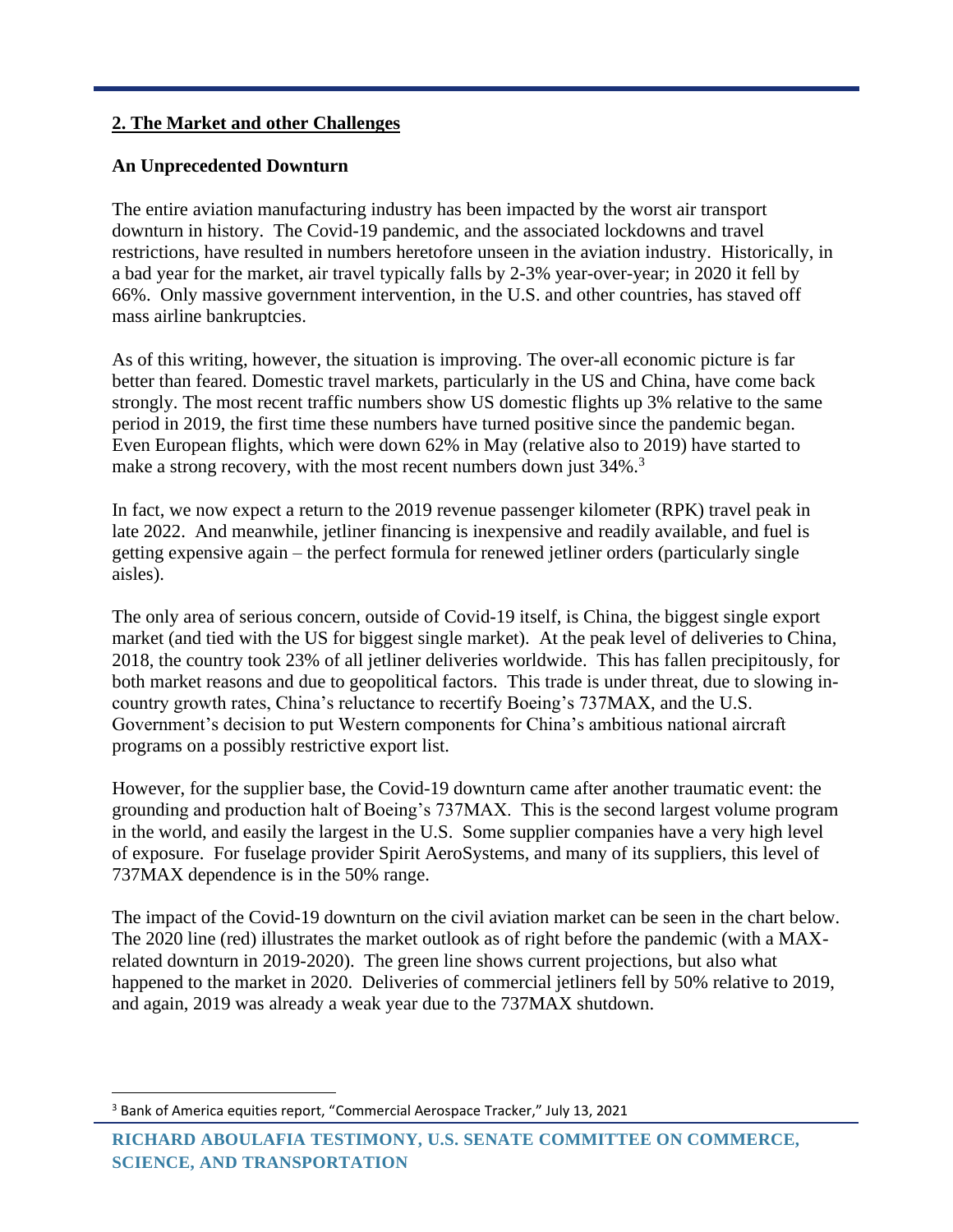### **2. The Market and other Challenges**

### **An Unprecedented Downturn**

The entire aviation manufacturing industry has been impacted by the worst air transport downturn in history. The Covid-19 pandemic, and the associated lockdowns and travel restrictions, have resulted in numbers heretofore unseen in the aviation industry. Historically, in a bad year for the market, air travel typically falls by 2-3% year-over-year; in 2020 it fell by 66%. Only massive government intervention, in the U.S. and other countries, has staved off mass airline bankruptcies.

As of this writing, however, the situation is improving. The over-all economic picture is far better than feared. Domestic travel markets, particularly in the US and China, have come back strongly. The most recent traffic numbers show US domestic flights up 3% relative to the same period in 2019, the first time these numbers have turned positive since the pandemic began. Even European flights, which were down 62% in May (relative also to 2019) have started to make a strong recovery, with the most recent numbers down just 34%.<sup>3</sup>

In fact, we now expect a return to the 2019 revenue passenger kilometer (RPK) travel peak in late 2022. And meanwhile, jetliner financing is inexpensive and readily available, and fuel is getting expensive again – the perfect formula for renewed jetliner orders (particularly single aisles).

The only area of serious concern, outside of Covid-19 itself, is China, the biggest single export market (and tied with the US for biggest single market). At the peak level of deliveries to China, 2018, the country took 23% of all jetliner deliveries worldwide. This has fallen precipitously, for both market reasons and due to geopolitical factors. This trade is under threat, due to slowing incountry growth rates, China's reluctance to recertify Boeing's 737MAX, and the U.S. Government's decision to put Western components for China's ambitious national aircraft programs on a possibly restrictive export list.

However, for the supplier base, the Covid-19 downturn came after another traumatic event: the grounding and production halt of Boeing's 737MAX. This is the second largest volume program in the world, and easily the largest in the U.S. Some supplier companies have a very high level of exposure. For fuselage provider Spirit AeroSystems, and many of its suppliers, this level of 737MAX dependence is in the 50% range.

The impact of the Covid-19 downturn on the civil aviation market can be seen in the chart below. The 2020 line (red) illustrates the market outlook as of right before the pandemic (with a MAXrelated downturn in 2019-2020). The green line shows current projections, but also what happened to the market in 2020. Deliveries of commercial jetliners fell by 50% relative to 2019, and again, 2019 was already a weak year due to the 737MAX shutdown.

<sup>&</sup>lt;sup>3</sup> Bank of America equities report, "Commercial Aerospace Tracker," July 13, 2021

**RICHARD ABOULAFIA TESTIMONY, U.S. SENATE COMMITTEE ON COMMERCE, SCIENCE, AND TRANSPORTATION**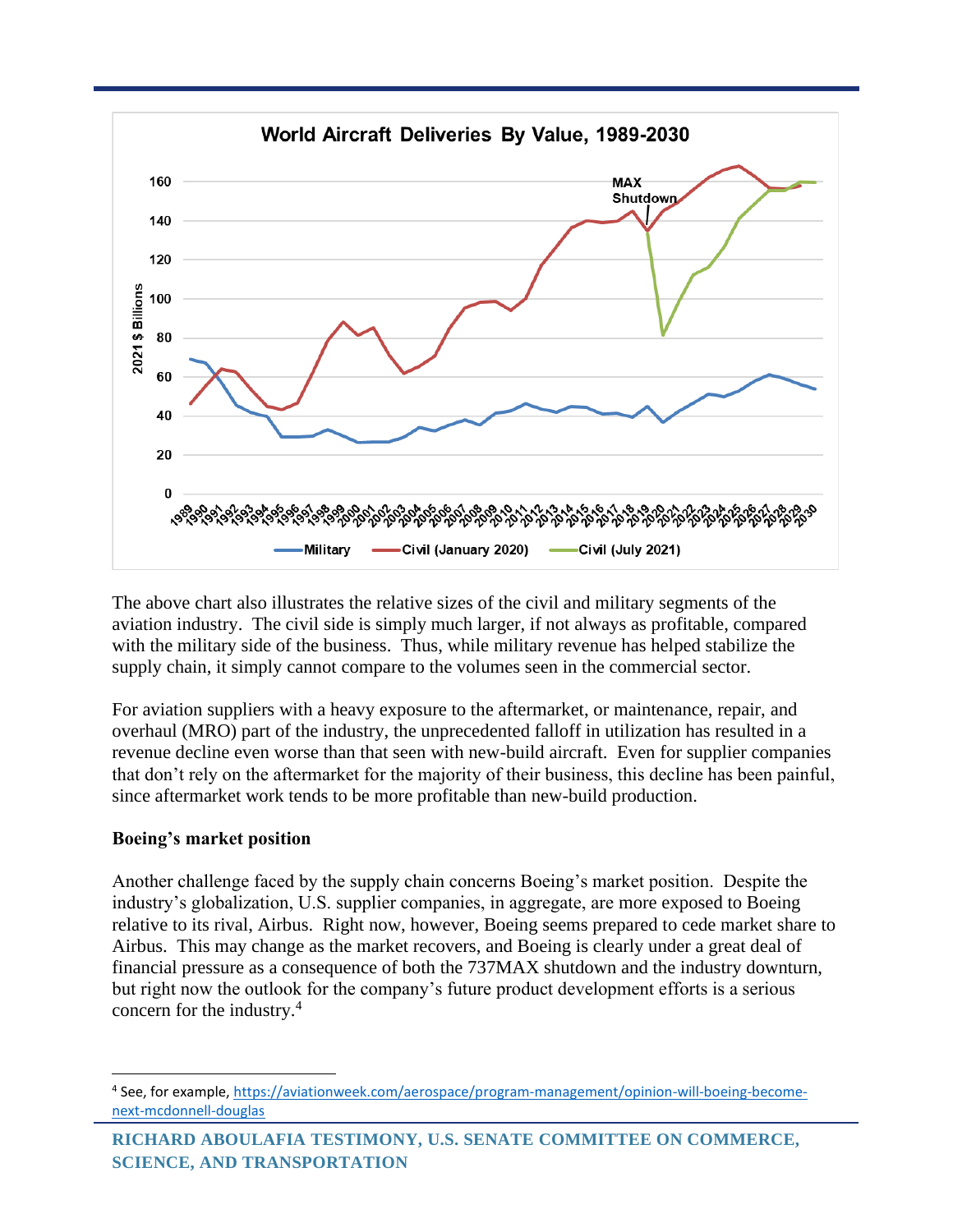

The above chart also illustrates the relative sizes of the civil and military segments of the aviation industry. The civil side is simply much larger, if not always as profitable, compared with the military side of the business. Thus, while military revenue has helped stabilize the supply chain, it simply cannot compare to the volumes seen in the commercial sector.

For aviation suppliers with a heavy exposure to the aftermarket, or maintenance, repair, and overhaul (MRO) part of the industry, the unprecedented falloff in utilization has resulted in a revenue decline even worse than that seen with new-build aircraft. Even for supplier companies that don't rely on the aftermarket for the majority of their business, this decline has been painful, since aftermarket work tends to be more profitable than new-build production.

### **Boeing's market position**

Another challenge faced by the supply chain concerns Boeing's market position. Despite the industry's globalization, U.S. supplier companies, in aggregate, are more exposed to Boeing relative to its rival, Airbus. Right now, however, Boeing seems prepared to cede market share to Airbus. This may change as the market recovers, and Boeing is clearly under a great deal of financial pressure as a consequence of both the 737MAX shutdown and the industry downturn, but right now the outlook for the company's future product development efforts is a serious concern for the industry.<sup>4</sup>

<sup>&</sup>lt;sup>4</sup> See, for example, [https://aviationweek.com/aerospace/program-management/opinion-will-boeing-become](https://aviationweek.com/aerospace/program-management/opinion-will-boeing-become-next-mcdonnell-douglas)[next-mcdonnell-douglas](https://aviationweek.com/aerospace/program-management/opinion-will-boeing-become-next-mcdonnell-douglas)

**RICHARD ABOULAFIA TESTIMONY, U.S. SENATE COMMITTEE ON COMMERCE, SCIENCE, AND TRANSPORTATION**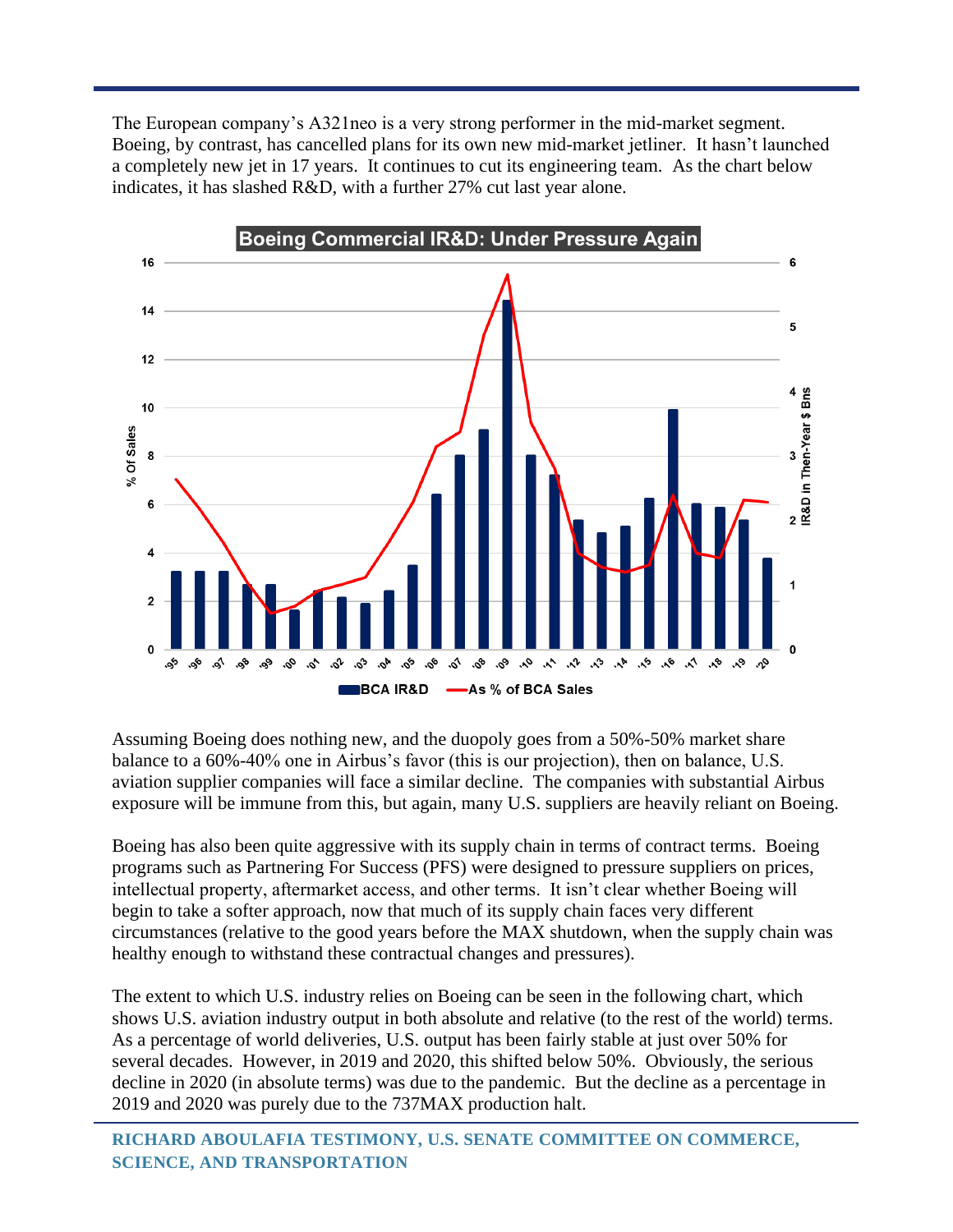The European company's A321neo is a very strong performer in the mid-market segment. Boeing, by contrast, has cancelled plans for its own new mid-market jetliner. It hasn't launched a completely new jet in 17 years. It continues to cut its engineering team. As the chart below indicates, it has slashed R&D, with a further 27% cut last year alone.



Assuming Boeing does nothing new, and the duopoly goes from a 50%-50% market share balance to a 60%-40% one in Airbus's favor (this is our projection), then on balance, U.S. aviation supplier companies will face a similar decline. The companies with substantial Airbus exposure will be immune from this, but again, many U.S. suppliers are heavily reliant on Boeing.

Boeing has also been quite aggressive with its supply chain in terms of contract terms. Boeing programs such as Partnering For Success (PFS) were designed to pressure suppliers on prices, intellectual property, aftermarket access, and other terms. It isn't clear whether Boeing will begin to take a softer approach, now that much of its supply chain faces very different circumstances (relative to the good years before the MAX shutdown, when the supply chain was healthy enough to withstand these contractual changes and pressures).

The extent to which U.S. industry relies on Boeing can be seen in the following chart, which shows U.S. aviation industry output in both absolute and relative (to the rest of the world) terms. As a percentage of world deliveries, U.S. output has been fairly stable at just over 50% for several decades. However, in 2019 and 2020, this shifted below 50%. Obviously, the serious decline in 2020 (in absolute terms) was due to the pandemic. But the decline as a percentage in 2019 and 2020 was purely due to the 737MAX production halt.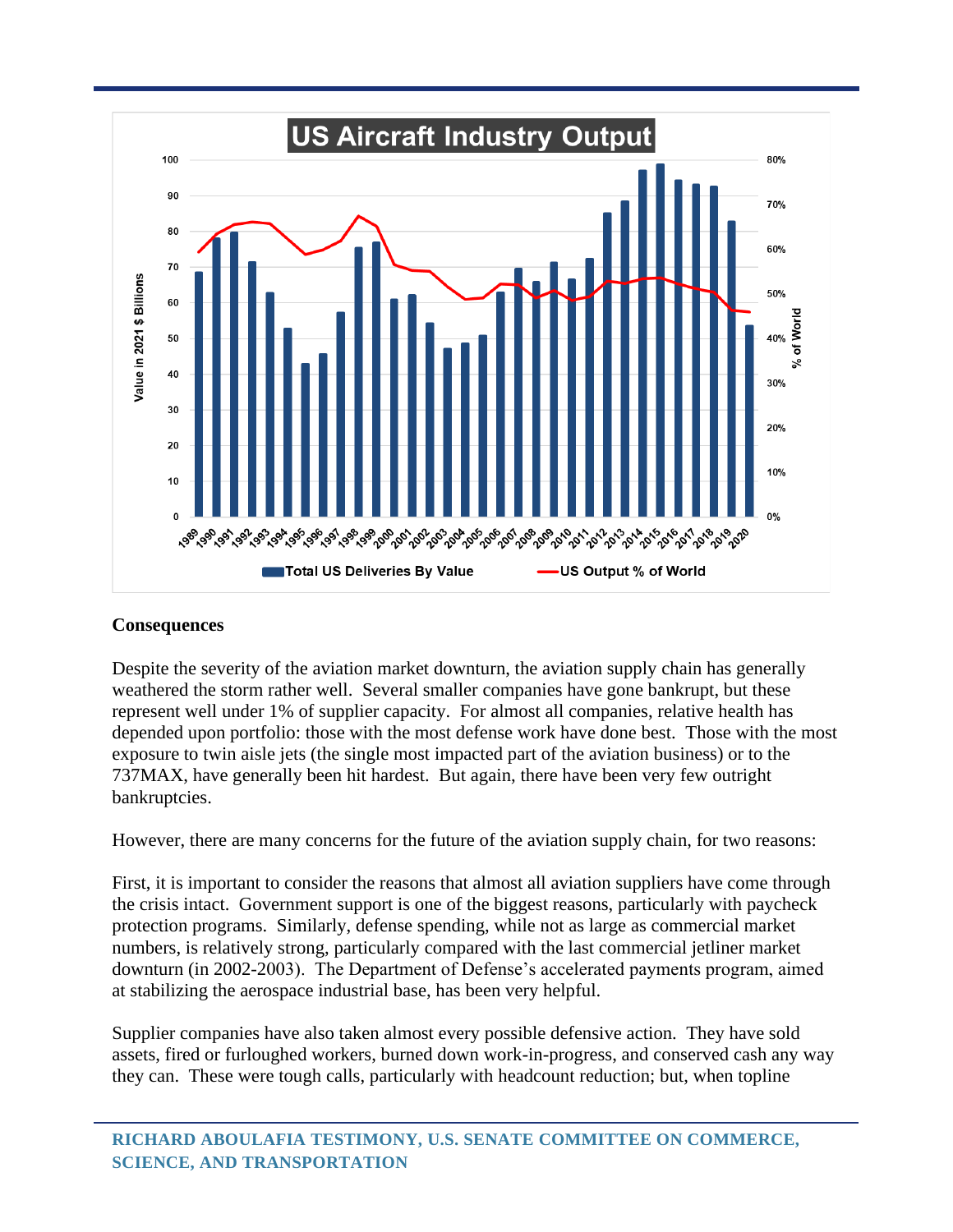

#### **Consequences**

Despite the severity of the aviation market downturn, the aviation supply chain has generally weathered the storm rather well. Several smaller companies have gone bankrupt, but these represent well under 1% of supplier capacity. For almost all companies, relative health has depended upon portfolio: those with the most defense work have done best. Those with the most exposure to twin aisle jets (the single most impacted part of the aviation business) or to the 737MAX, have generally been hit hardest. But again, there have been very few outright bankruptcies.

However, there are many concerns for the future of the aviation supply chain, for two reasons:

First, it is important to consider the reasons that almost all aviation suppliers have come through the crisis intact. Government support is one of the biggest reasons, particularly with paycheck protection programs. Similarly, defense spending, while not as large as commercial market numbers, is relatively strong, particularly compared with the last commercial jetliner market downturn (in 2002-2003). The Department of Defense's accelerated payments program, aimed at stabilizing the aerospace industrial base, has been very helpful.

Supplier companies have also taken almost every possible defensive action. They have sold assets, fired or furloughed workers, burned down work-in-progress, and conserved cash any way they can. These were tough calls, particularly with headcount reduction; but, when topline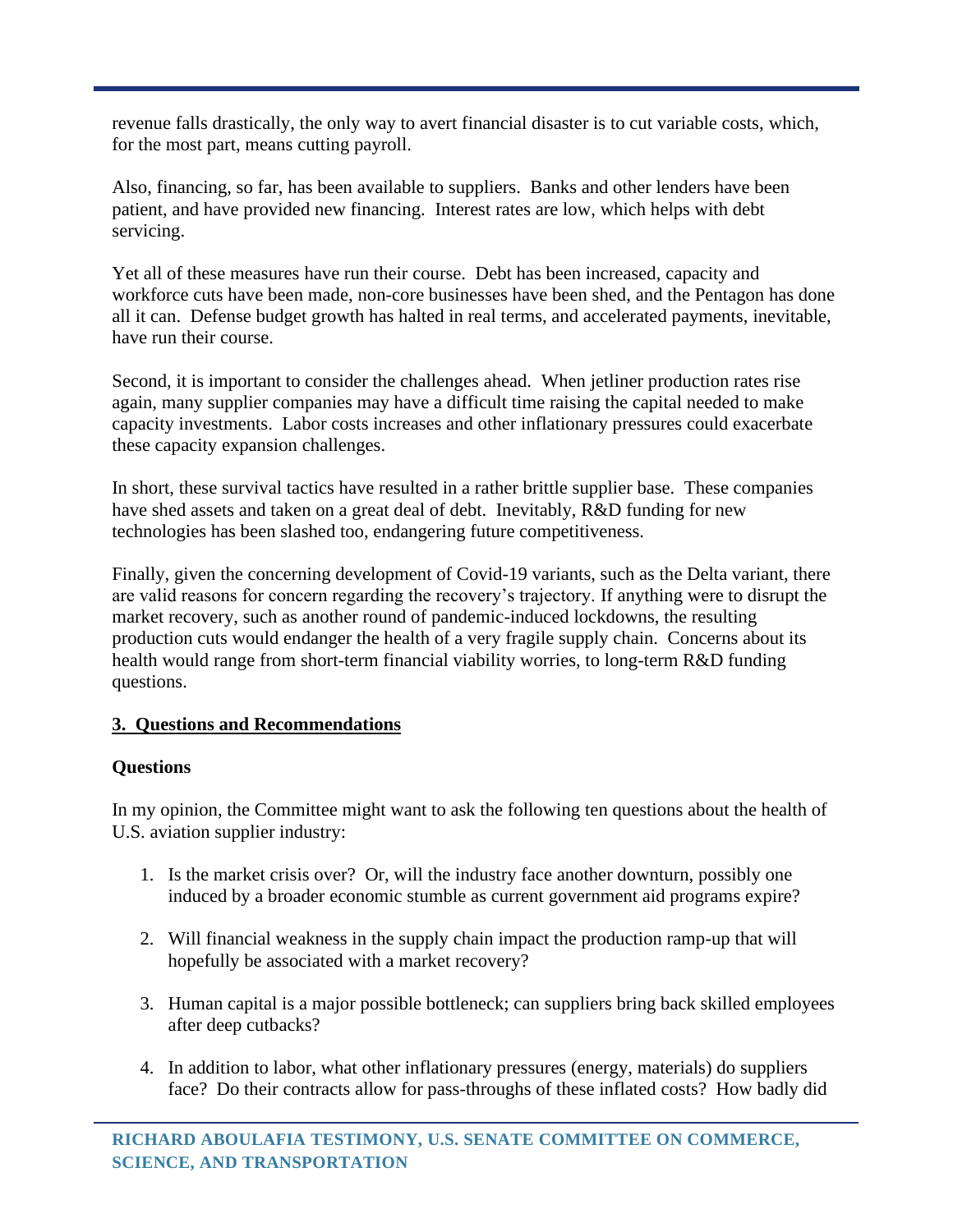revenue falls drastically, the only way to avert financial disaster is to cut variable costs, which, for the most part, means cutting payroll.

Also, financing, so far, has been available to suppliers. Banks and other lenders have been patient, and have provided new financing. Interest rates are low, which helps with debt servicing.

Yet all of these measures have run their course. Debt has been increased, capacity and workforce cuts have been made, non-core businesses have been shed, and the Pentagon has done all it can. Defense budget growth has halted in real terms, and accelerated payments, inevitable, have run their course.

Second, it is important to consider the challenges ahead. When jetliner production rates rise again, many supplier companies may have a difficult time raising the capital needed to make capacity investments. Labor costs increases and other inflationary pressures could exacerbate these capacity expansion challenges.

In short, these survival tactics have resulted in a rather brittle supplier base. These companies have shed assets and taken on a great deal of debt. Inevitably, R&D funding for new technologies has been slashed too, endangering future competitiveness.

Finally, given the concerning development of Covid-19 variants, such as the Delta variant, there are valid reasons for concern regarding the recovery's trajectory. If anything were to disrupt the market recovery, such as another round of pandemic-induced lockdowns, the resulting production cuts would endanger the health of a very fragile supply chain. Concerns about its health would range from short-term financial viability worries, to long-term R&D funding questions.

## **3. Questions and Recommendations**

## **Questions**

In my opinion, the Committee might want to ask the following ten questions about the health of U.S. aviation supplier industry:

- 1. Is the market crisis over? Or, will the industry face another downturn, possibly one induced by a broader economic stumble as current government aid programs expire?
- 2. Will financial weakness in the supply chain impact the production ramp-up that will hopefully be associated with a market recovery?
- 3. Human capital is a major possible bottleneck; can suppliers bring back skilled employees after deep cutbacks?
- 4. In addition to labor, what other inflationary pressures (energy, materials) do suppliers face? Do their contracts allow for pass-throughs of these inflated costs? How badly did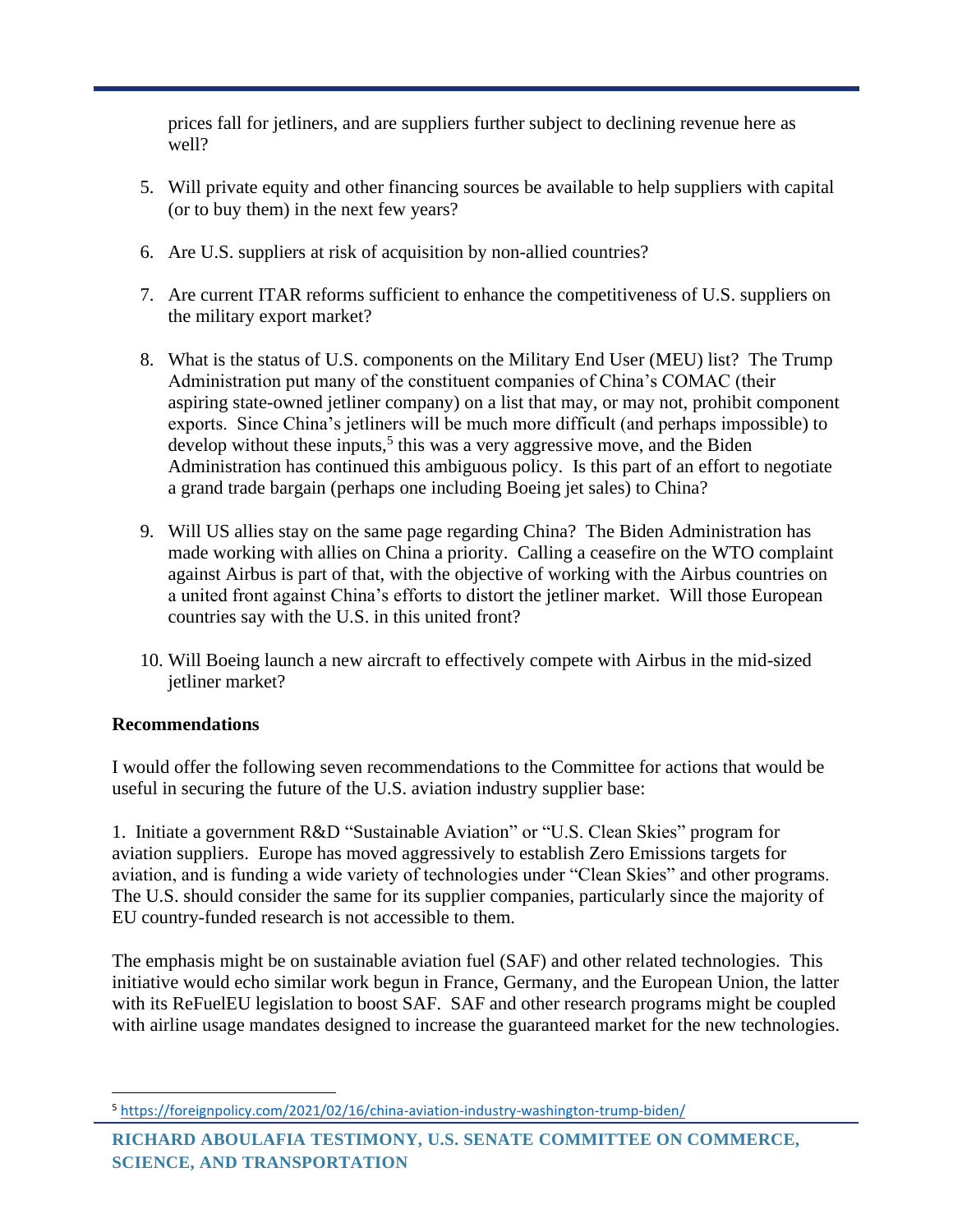prices fall for jetliners, and are suppliers further subject to declining revenue here as well?

- 5. Will private equity and other financing sources be available to help suppliers with capital (or to buy them) in the next few years?
- 6. Are U.S. suppliers at risk of acquisition by non-allied countries?
- 7. Are current ITAR reforms sufficient to enhance the competitiveness of U.S. suppliers on the military export market?
- 8. What is the status of U.S. components on the Military End User (MEU) list? The Trump Administration put many of the constituent companies of China's COMAC (their aspiring state-owned jetliner company) on a list that may, or may not, prohibit component exports. Since China's jetliners will be much more difficult (and perhaps impossible) to develop without these inputs,<sup>5</sup> this was a very aggressive move, and the Biden Administration has continued this ambiguous policy. Is this part of an effort to negotiate a grand trade bargain (perhaps one including Boeing jet sales) to China?
- 9. Will US allies stay on the same page regarding China? The Biden Administration has made working with allies on China a priority. Calling a ceasefire on the WTO complaint against Airbus is part of that, with the objective of working with the Airbus countries on a united front against China's efforts to distort the jetliner market. Will those European countries say with the U.S. in this united front?
- 10. Will Boeing launch a new aircraft to effectively compete with Airbus in the mid-sized jetliner market?

## **Recommendations**

I would offer the following seven recommendations to the Committee for actions that would be useful in securing the future of the U.S. aviation industry supplier base:

1. Initiate a government R&D "Sustainable Aviation" or "U.S. Clean Skies" program for aviation suppliers. Europe has moved aggressively to establish Zero Emissions targets for aviation, and is funding a wide variety of technologies under "Clean Skies" and other programs. The U.S. should consider the same for its supplier companies, particularly since the majority of EU country-funded research is not accessible to them.

The emphasis might be on sustainable aviation fuel (SAF) and other related technologies. This initiative would echo similar work begun in France, Germany, and the European Union, the latter with its ReFuelEU legislation to boost SAF. SAF and other research programs might be coupled with airline usage mandates designed to increase the guaranteed market for the new technologies.

<sup>5</sup> <https://foreignpolicy.com/2021/02/16/china-aviation-industry-washington-trump-biden/>

**RICHARD ABOULAFIA TESTIMONY, U.S. SENATE COMMITTEE ON COMMERCE, SCIENCE, AND TRANSPORTATION**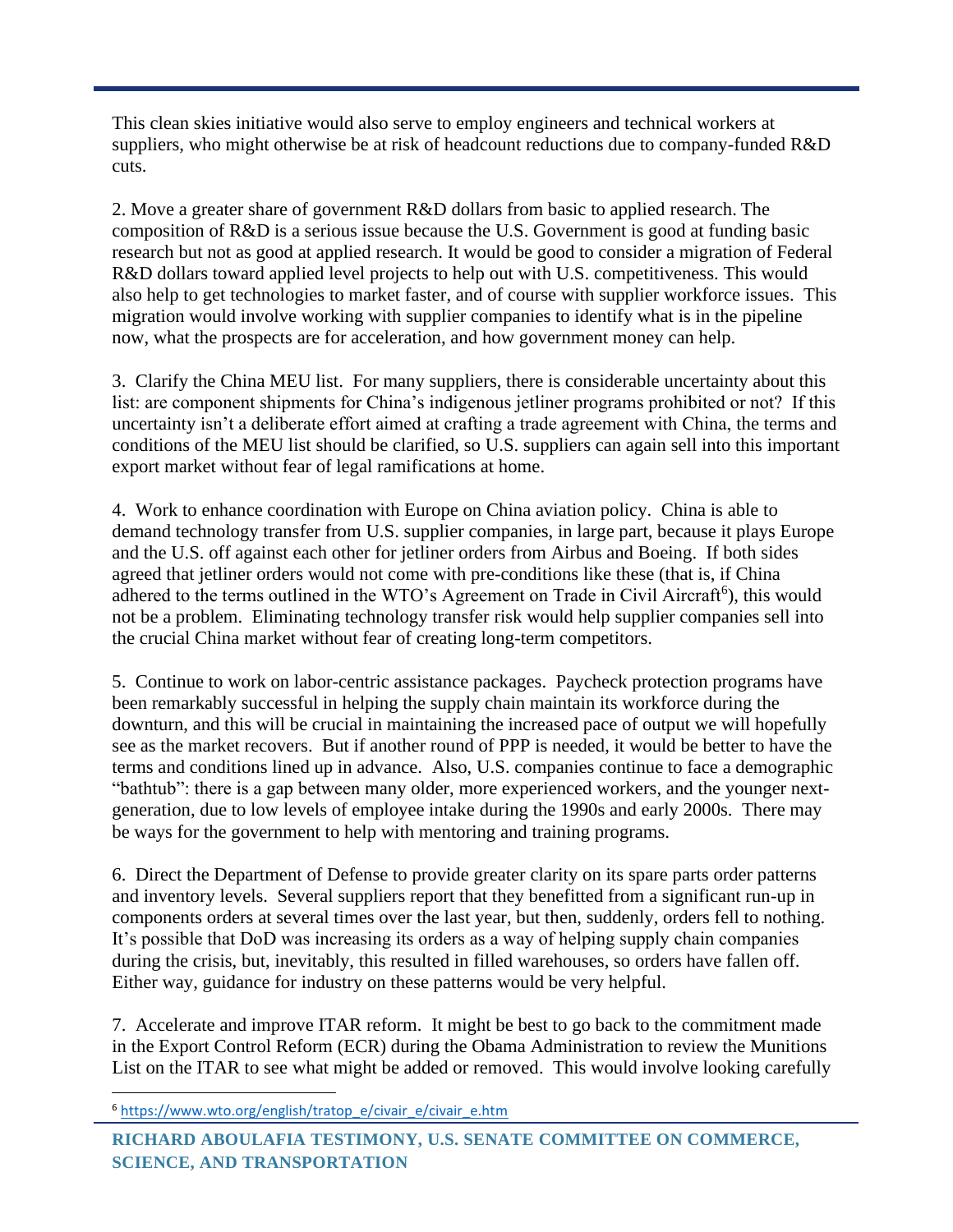This clean skies initiative would also serve to employ engineers and technical workers at suppliers, who might otherwise be at risk of headcount reductions due to company-funded R&D cuts.

2. Move a greater share of government R&D dollars from basic to applied research. The composition of R&D is a serious issue because the U.S. Government is good at funding basic research but not as good at applied research. It would be good to consider a migration of Federal R&D dollars toward applied level projects to help out with U.S. competitiveness. This would also help to get technologies to market faster, and of course with supplier workforce issues. This migration would involve working with supplier companies to identify what is in the pipeline now, what the prospects are for acceleration, and how government money can help.

3. Clarify the China MEU list. For many suppliers, there is considerable uncertainty about this list: are component shipments for China's indigenous jetliner programs prohibited or not? If this uncertainty isn't a deliberate effort aimed at crafting a trade agreement with China, the terms and conditions of the MEU list should be clarified, so U.S. suppliers can again sell into this important export market without fear of legal ramifications at home.

4. Work to enhance coordination with Europe on China aviation policy. China is able to demand technology transfer from U.S. supplier companies, in large part, because it plays Europe and the U.S. off against each other for jetliner orders from Airbus and Boeing. If both sides agreed that jetliner orders would not come with pre-conditions like these (that is, if China adhered to the terms outlined in the WTO's Agreement on Trade in Civil Aircraft<sup>6</sup>), this would not be a problem. Eliminating technology transfer risk would help supplier companies sell into the crucial China market without fear of creating long-term competitors.

5. Continue to work on labor-centric assistance packages. Paycheck protection programs have been remarkably successful in helping the supply chain maintain its workforce during the downturn, and this will be crucial in maintaining the increased pace of output we will hopefully see as the market recovers. But if another round of PPP is needed, it would be better to have the terms and conditions lined up in advance. Also, U.S. companies continue to face a demographic "bathtub": there is a gap between many older, more experienced workers, and the younger nextgeneration, due to low levels of employee intake during the 1990s and early 2000s. There may be ways for the government to help with mentoring and training programs.

6. Direct the Department of Defense to provide greater clarity on its spare parts order patterns and inventory levels. Several suppliers report that they benefitted from a significant run-up in components orders at several times over the last year, but then, suddenly, orders fell to nothing. It's possible that DoD was increasing its orders as a way of helping supply chain companies during the crisis, but, inevitably, this resulted in filled warehouses, so orders have fallen off. Either way, guidance for industry on these patterns would be very helpful.

7. Accelerate and improve ITAR reform. It might be best to go back to the commitment made in the Export Control Reform (ECR) during the Obama Administration to review the Munitions List on the ITAR to see what might be added or removed. This would involve looking carefully

<sup>6</sup> [https://www.wto.org/english/tratop\\_e/civair\\_e/civair\\_e.htm](https://www.wto.org/english/tratop_e/civair_e/civair_e.htm)

**RICHARD ABOULAFIA TESTIMONY, U.S. SENATE COMMITTEE ON COMMERCE, SCIENCE, AND TRANSPORTATION**